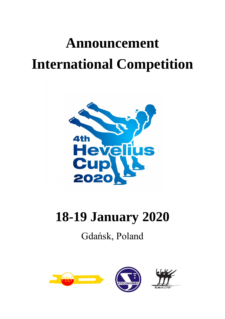# **Announcement International Competition**



## **18-19 January 2020**

### Gdańsk, Poland





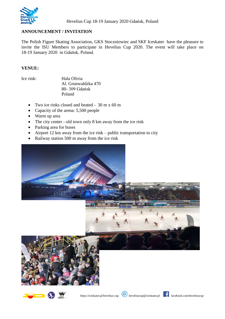

#### **ANNOUNCEMENT / INVITATION**

The Polish Figure Skating Association, GKS Stoczniowiec and SKF Iceskater have the pleasure to invite the ISU Members to participate in Hevelius Cup 2020. The event will take place on 18-19 January 2020 in Gdańsk, Poland.

#### **VENUE:**

Ice rink: Hala Olivia Al. Grunwaldzka 470 80- 309 Gdańsk Poland

- Two ice rinks closed and heated 30 m x 60 m
- Capacity of the arena: 5,500 people
- Warm up area
- The city center old town only 8 km away from the ice rink
- Parking area for buses
- Airport 12 km away from the ice rink public transportation to city
- Railway station 500 m away from the ice rink





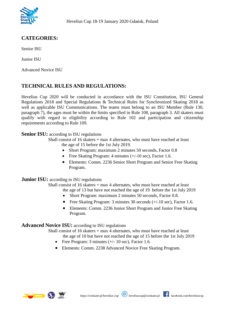

#### **CATEGORIES:**

Senior ISU

Junior ISU

Advanced Novice ISU

#### **TECHNICAL RULES AND REGULATIONS:**

Hevelius Cup 2020 will be conducted in accordance with the ISU Constitution, ISU General Regulations 2018 and Special Regulations & Technical Rules for Synchronized Skating 2018 as well as applicable ISU Communications. The teams must belong to an ISU Member (Rule 130, paragraph 7), the ages must be within the limits specified in Rule 108, paragraph 3. All skaters must qualify with regard to eligibility according to Rule 102 and participation and citizenship requirements according to Rule 109.

#### **Senior ISU:** according to ISU regulations

Shall consist of 16 skaters + max 4 alternates, who must have reached at least the age of 15 before the 1st July 2019.

- Short Program: maximum 2 minutes 50 seconds, Factor 0.8
- Free Skating Program: 4 minutes  $(+/-10 \text{ sec})$ , Factor 1.6.
- Elements: Comm. 2236 Senior Short Program and Senior Free Skating Program.

#### **Junior ISU:** according to ISU regulations

Shall consist of 16 skaters + max 4 alternates, who must have reached at least the age of 13 but have not reached the age of 19 before the 1st July 2019

- Short Program: maximum 2 minutes 50 seconds, Factor 0.8.
- Free Skating Program: 3 minutes 30 seconds (+/-10 sec), Factor 1.6.
- Elements: Comm. 2236 Junior Short Program and Junior Free Skating Program.

#### **Advanced Novice ISU:** according to ISU regulations

Shall consist of 16 skaters + max 4 alternates, who must have reached at least

the age of 10 but have not reached the age of 15 before the 1st July 2019

- Free Program:  $3 \text{ minutes } (+/- 10 \text{ sec})$ , Factor 1.6.
- Elements: Comm. 2238 Advanced Novice Free Skating Program.



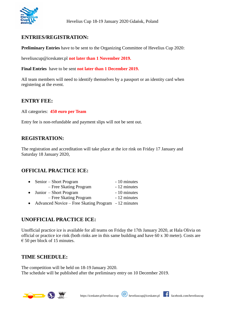

#### **ENTRIES/REGISTRATION:**

**Preliminary Entries** have to be sent to the Organizing Committee of Hevelius Cup 2020:

heveliuscup@iceskater.pl **not later than 1 November 2019.** 

**Final Entries** have to be sent **not later than 1 December 2019.**

All team members will need to identify themselves by a passport or an identity card when registering at the event.

#### **ENTRY FEE:**

All categories: **450 euro per Team**

Entry fee is non-refundable and payment slips will not be sent out.

#### **REGISTRATION:**

The registration and accreditation will take place at the ice rink on Friday 17 January and Saturday 18 January 2020,

#### **OFFICIAL PRACTICE ICE:**

| $\bullet$ | Senior – Short Program                              | - 10 minutes |
|-----------|-----------------------------------------------------|--------------|
|           | - Free Skating Program                              | - 12 minutes |
|           | • Junior – Short Program                            | - 10 minutes |
|           | - Free Skating Program                              | - 12 minutes |
| $\bullet$ | Advanced Novice – Free Skating Program - 12 minutes |              |

#### **UNOFFICIAL PRACTICE ICE:**

Unofficial practice ice is available for all teams on Friday the 17th January 2020, at Hala Olivia on official or practice ice rink (both rinks are in this same building and have 60 x 30 meter). Costs are  $\epsilon$  50 per block of 15 minutes.

#### **TIME SCHEDULE:**

The competition will be held on 18-19 January 2020. The schedule will be published after the preliminary entry on 10 December 2019.

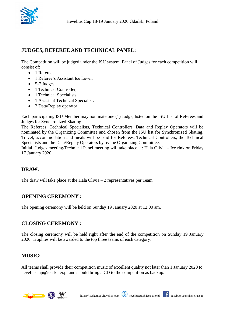

#### **JUDGES, REFEREE AND TECHNICAL PANEL:**

The Competition will be judged under the ISU system. Panel of Judges for each competition will consist of:

- 1 Referee,
- 1 Referee's Assistant Ice Level,
- $\bullet$  5-7 Judges.
- 1 Technical Controller,
- 1 Technical Specialists,
- 1 Assistant Technical Specialist,
- 2 Data/Replay operator.

Each participating ISU Member may nominate one (1) Judge, listed on the ISU List of Referees and Judges for Synchronized Skating.

The Referees, Technical Specialists, Technical Controllers, Data and Replay Operators will be nominated by the Organizing Committee and chosen from the ISU list for Synchronized Skating. Travel, accommodation and meals will be paid for Referees, Technical Controllers, the Technical Specialists and the Data/Replay Operators by by the Organizing Committee.

Initial Judges meeting/Technical Panel meeting will take place at: Hala Olivia – Ice rink on Friday 17 January 2020.

#### **DRAW:**

The draw will take place at the Hala Olivia  $-2$  representatives per Team.

#### **OPENING CEREMONY :**

The opening ceremony will be held on Sunday 19 January 2020 at 12:00 am.

#### **CLOSING CEREMONY :**

The closing ceremony will be held right after the end of the competition on Sunday 19 January 2020. Trophies will be awarded to the top three teams of each category.

#### **MUSIC:**

All teams shall provide their competition music of excellent quality not later than 1 January 2020 to heveliuscup@iceskater.pl and should bring a CD to the competition as backup.

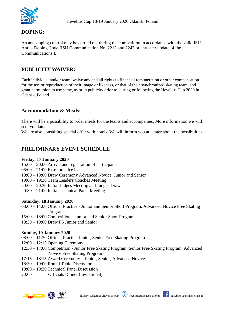

#### **DOPING:**

An anti-doping control may be carried out during the competition in accordance with the valid ISU Anti – Doping Code (ISU Communication No. 2213 and 2243 or any later update of the Communications.).

#### **PUBLICITY WAIVER:**

Each individual and/or team, waive any and all rights to financial remuneration or other compensation for the use or reproduction of their image or likeness, or that of their synchronized skating team, and grant permission to use same, as or in publicity prior to, during or following the Hevelius Cup 2020 in Gdansk, Poland.

#### **Accommodation & Meals:**

There will be a possibility to order meals for the teams and accompanies. More information we will sent you later.

We are also consulting special offer with hotels. We will inform you at a later about the possibilities.

#### **PRELIMINARY EVENT SCHEDULE**

#### **Friday, 17 January 2020**

- 15:00 20:00 Arrival and registration of participants
- 08:00 21:00 Extra practice ice
- 18:00 19:00 Draw Ceremony Advanced Novice, Junior and Senior
- 19:00 19:30 Team Leaders/Coaches Meeting
- 20:00 20:30 Initial Judges Meeting and Judges Draw
- 20:30 21:00 Initial Technical Panel Meeting

#### **Saturday, 18 January 2020**

- 08:00 14:00 Official Practice Junior and Senior Short Program, Advanced Novice Free Skating Program
- 15:00 18:00 Competition Junior and Senior Short Program
- 18:30 19:00 Draw FS Junior and Senior

#### **Sunday, 19 January 2020**

- 08:00 11:30 Official Practice Junior, Senior Free Skating Program
- 12:00 12:15 Opening Ceremony
- 12:30 17:00 Competition Junior Free Skating Program, Senior Free Skating Program, Advanced Novice Free Skating Program
- 17:15 18:15 Award Ceremony Junior, Senior, Advanced Novice
- 18:30 19:00 Round Table Discussion
- 19:00 19:30 Technical Panel Discussion
- 20:00 Officials Dinner (invitational)



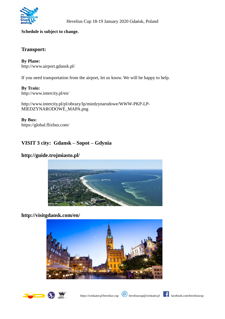

#### **Schedule is subject to change.**

#### **Transport:**

**By Plane:** <http://www.airport.gdansk.pl/>

If you need transportation from the airport, let us know. We will be happy to help.

**By Train:** http://www.intercity.pl/en/

[http://www.intercity.pl/pl/obrazy/lp/miedzynarodowe/WWW-PKP-LP-](http://www.intercity.pl/pl/obrazy/lp/miedzynarodowe/WWW-PKP-LP-MIEDZYNARODOWE_MAPA.png)[MIEDZYNARODOWE\\_MAPA.png](http://www.intercity.pl/pl/obrazy/lp/miedzynarodowe/WWW-PKP-LP-MIEDZYNARODOWE_MAPA.png)

**By Bus:** https://global.flixbus.com/

#### **VISIT 3 city: Gdansk – Sopot – Gdynia**

#### **http://guide.trojmiasto.pl/**



#### **<http://visitgdansk.com/en/>**